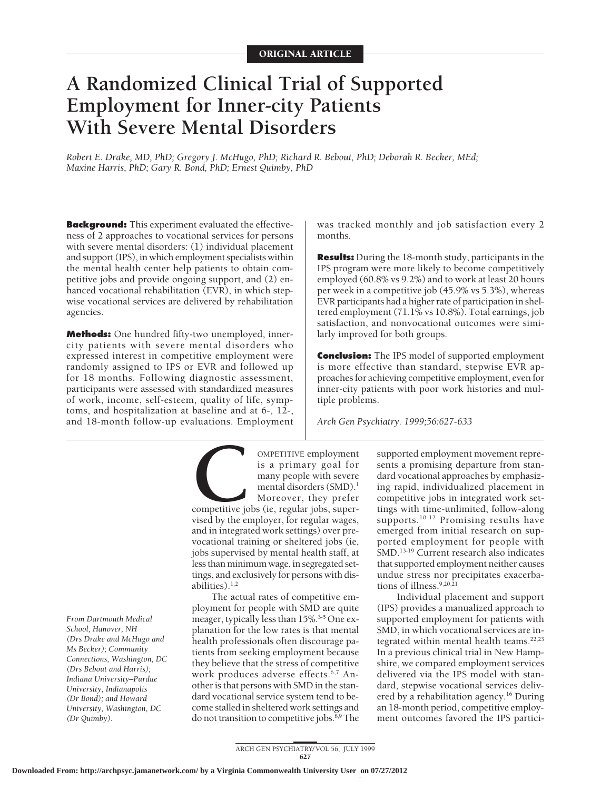# **A Randomized Clinical Trial of Supported Employment for Inner-city Patients With Severe Mental Disorders**

*Robert E. Drake, MD, PhD; Gregory J. McHugo, PhD; Richard R. Bebout, PhD; Deborah R. Becker, MEd; Maxine Harris, PhD; Gary R. Bond, PhD; Ernest Quimby, PhD*

**Background:** This experiment evaluated the effectiveness of 2 approaches to vocational services for persons with severe mental disorders: (1) individual placement and support (IPS), in which employment specialists within the mental health center help patients to obtain competitive jobs and provide ongoing support, and (2) enhanced vocational rehabilitation (EVR), in which stepwise vocational services are delivered by rehabilitation agencies.

**Methods:** One hundred fifty-two unemployed, innercity patients with severe mental disorders who expressed interest in competitive employment were randomly assigned to IPS or EVR and followed up for 18 months. Following diagnostic assessment, participants were assessed with standardized measures of work, income, self-esteem, quality of life, symptoms, and hospitalization at baseline and at 6-, 12-,

and 18-month follow-up evaluations. Employment

*From Dartmouth Medical School, Hanover, NH (Drs Drake and McHugo and Ms Becker); Community Connections, Washington, DC (Drs Bebout and Harris); Indiana University–Purdue University, Indianapolis (Dr Bond); and Howard University, Washington, DC (Dr Quimby).*

**COMPETITIVE employment**<br>
is a primary goal for<br>
many people with severe<br>
mental disorders (SMD).<sup>1</sup><br>
Moreover, they prefer<br>
competitive jobs (ie, regular jobs, super-<br>
vised by the employer. for regular wages. is a primary goal for many people with severe mental disorders (SMD).<sup>1</sup>

Moreover, they prefer competitive jobs (ie, regular jobs, supervised by the employer, for regular wages, and in integrated work settings) over prevocational training or sheltered jobs (ie, jobs supervised by mental health staff, at less than minimum wage, in segregated settings, and exclusively for persons with disabilities).<sup>1,2</sup>

The actual rates of competitive employment for people with SMD are quite meager, typically less than 15%.<sup>3-5</sup> One explanation for the low rates is that mental health professionals often discourage patients from seeking employment because they believe that the stress of competitive work produces adverse effects.<sup>6,7</sup> Another is that persons with SMD in the standard vocational service system tend to become stalled in sheltered work settings and do not transition to competitive jobs.<sup>8,9</sup> The

was tracked monthly and job satisfaction every 2 months.

**Results:** During the 18-month study, participants in the IPS program were more likely to become competitively employed (60.8% vs 9.2%) and to work at least 20 hours per week in a competitive job (45.9% vs 5.3%), whereas EVR participants had a higher rate of participation in sheltered employment (71.1% vs 10.8%). Total earnings, job satisfaction, and nonvocational outcomes were similarly improved for both groups.

**Conclusion:** The IPS model of supported employment is more effective than standard, stepwise EVR approaches for achieving competitive employment, even for inner-city patients with poor work histories and multiple problems.

*Arch Gen Psychiatry. 1999;56:627-633*

supported employment movement represents a promising departure from standard vocational approaches by emphasizing rapid, individualized placement in competitive jobs in integrated work settings with time-unlimited, follow-along supports.<sup>10-12</sup> Promising results have emerged from initial research on supported employment for people with SMD.<sup>13-19</sup> Current research also indicates that supported employment neither causes undue stress nor precipitates exacerbations of illness.9,20,21

Individual placement and support (IPS) provides a manualized approach to supported employment for patients with SMD, in which vocational services are integrated within mental health teams.<sup>22,23</sup> In a previous clinical trial in New Hampshire, we compared employment services delivered via the IPS model with standard, stepwise vocational services delivered by a rehabilitation agency.16 During an 18-month period, competitive employment outcomes favored the IPS partici-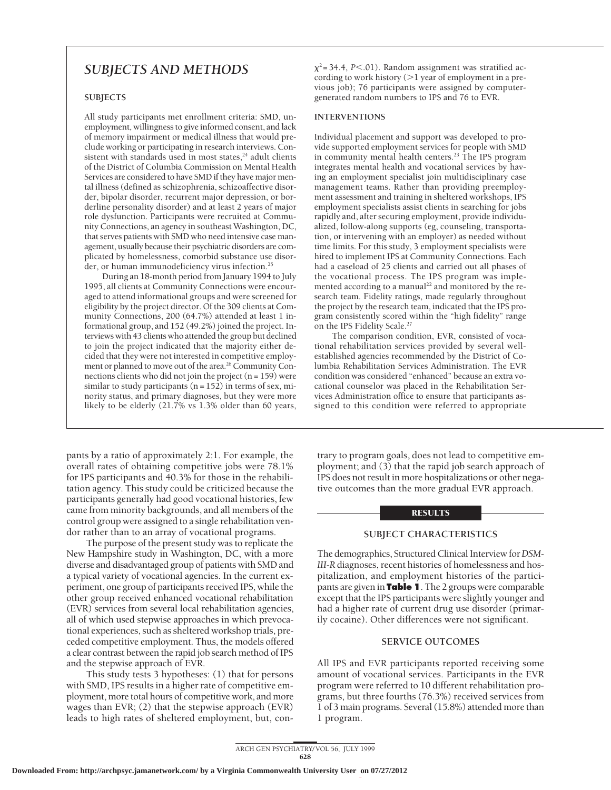## *SUBJECTS AND METHODS*

### **SUBJECTS**

All study participants met enrollment criteria: SMD, unemployment, willingness to give informed consent, and lack of memory impairment or medical illness that would preclude working or participating in research interviews. Consistent with standards used in most states, $24$  adult clients of the District of Columbia Commission on Mental Health Services are considered to have SMD if they have major mental illness (defined as schizophrenia, schizoaffective disorder, bipolar disorder, recurrent major depression, or borderline personality disorder) and at least 2 years of major role dysfunction. Participants were recruited at Community Connections, an agency in southeast Washington, DC, that serves patients with SMD who need intensive case management, usually because their psychiatric disorders are complicated by homelessness, comorbid substance use disorder, or human immunodeficiency virus infection.25

During an 18-month period from January 1994 to July 1995, all clients at Community Connections were encouraged to attend informational groups and were screened for eligibility by the project director. Of the 309 clients at Community Connections, 200 (64.7%) attended at least 1 informational group, and 152 (49.2%) joined the project. Interviews with 43 clients who attended the group but declined to join the project indicated that the majority either decided that they were not interested in competitive employment or planned to move out of the area.<sup>26</sup> Community Connections clients who did not join the project  $(n = 159)$  were similar to study participants ( $n = 152$ ) in terms of sex, minority status, and primary diagnoses, but they were more likely to be elderly (21.7% vs 1.3% older than 60 years,

pants by a ratio of approximately 2:1. For example, the overall rates of obtaining competitive jobs were 78.1% for IPS participants and 40.3% for those in the rehabilitation agency. This study could be criticized because the participants generally had good vocational histories, few came from minority backgrounds, and all members of the control group were assigned to a single rehabilitation vendor rather than to an array of vocational programs.

The purpose of the present study was to replicate the New Hampshire study in Washington, DC, with a more diverse and disadvantaged group of patients with SMD and a typical variety of vocational agencies. In the current experiment, one group of participants received IPS, while the other group received enhanced vocational rehabilitation (EVR) services from several local rehabilitation agencies, all of which used stepwise approaches in which prevocational experiences, such as sheltered workshop trials, preceded competitive employment. Thus, the models offered a clear contrast between the rapid job search method of IPS and the stepwise approach of EVR.

This study tests 3 hypotheses: (1) that for persons with SMD, IPS results in a higher rate of competitive employment, more total hours of competitive work, and more wages than EVR; (2) that the stepwise approach (EVR) leads to high rates of sheltered employment, but, con $\chi^2$  = 34.4, *P*<.01). Random assignment was stratified according to work history  $(>1$  year of employment in a previous job); 76 participants were assigned by computergenerated random numbers to IPS and 76 to EVR.

#### **INTERVENTIONS**

Individual placement and support was developed to provide supported employment services for people with SMD in community mental health centers.23 The IPS program integrates mental health and vocational services by having an employment specialist join multidisciplinary case management teams. Rather than providing preemployment assessment and training in sheltered workshops, IPS employment specialists assist clients in searching for jobs rapidly and, after securing employment, provide individualized, follow-along supports (eg, counseling, transportation, or intervening with an employer) as needed without time limits. For this study, 3 employment specialists were hired to implement IPS at Community Connections. Each had a caseload of 25 clients and carried out all phases of the vocational process. The IPS program was implemented according to a manual<sup>22</sup> and monitored by the research team. Fidelity ratings, made regularly throughout the project by the research team, indicated that the IPS program consistently scored within the "high fidelity" range on the IPS Fidelity Scale.<sup>27</sup>

The comparison condition, EVR, consisted of vocational rehabilitation services provided by several wellestablished agencies recommended by the District of Columbia Rehabilitation Services Administration. The EVR condition was considered "enhanced" because an extra vocational counselor was placed in the Rehabilitation Services Administration office to ensure that participants assigned to this condition were referred to appropriate

trary to program goals, does not lead to competitive employment; and (3) that the rapid job search approach of IPS does not result in more hospitalizations or other negative outcomes than the more gradual EVR approach.

#### RESULTS

#### **SUBJECT CHARACTERISTICS**

The demographics, Structured Clinical Interview for*DSM-III-R* diagnoses, recent histories of homelessness and hospitalization, and employment histories of the participants are given in **Table 1**. The 2 groups were comparable except that the IPS participants were slightly younger and had a higher rate of current drug use disorder (primarily cocaine). Other differences were not significant.

#### **SERVICE OUTCOMES**

All IPS and EVR participants reported receiving some amount of vocational services. Participants in the EVR program were referred to 10 different rehabilitation programs, but three fourths (76.3%) received services from 1 of 3 main programs. Several (15.8%) attended more than 1 program.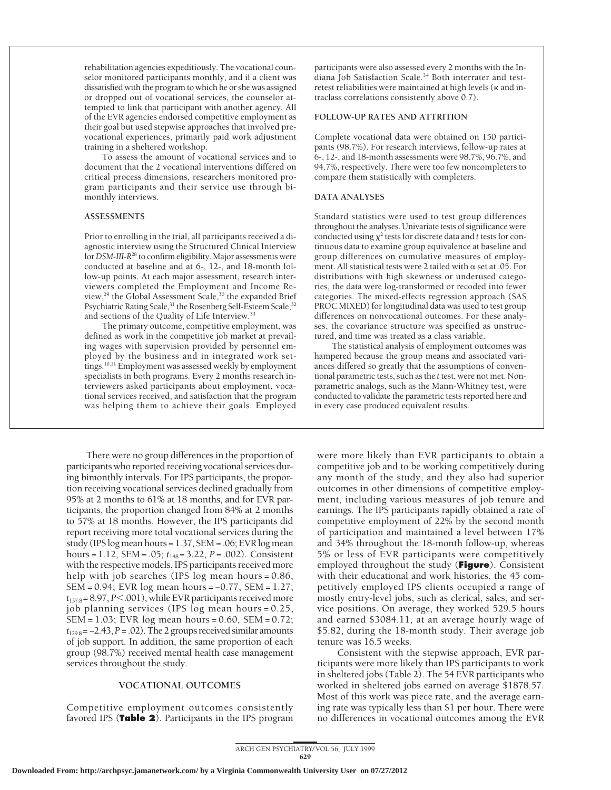rehabilitation agencies expeditiously. The vocational counselor monitored participants monthly, and if a client was dissatisfied with the program to which he or she was assigned or dropped out of vocational services, the counselor attempted to link that participant with another agency. All of the EVR agencies endorsed competitive employment as their goal but used stepwise approaches that involved prevocational experiences, primarily paid work adjustment training in a sheltered workshop.

To assess the amount of vocational services and to document that the 2 vocational interventions differed on critical process dimensions, researchers monitored program participants and their service use through bimonthly interviews.

#### **ASSESSMENTS**

Prior to enrolling in the trial, all participants received a diagnostic interview using the Structured Clinical Interview for*DSM-III-R*<sup>28</sup> to confirm eligibility. Major assessments were conducted at baseline and at 6-, 12-, and 18-month follow-up points. At each major assessment, research interviewers completed the Employment and Income Review,<sup>29</sup> the Global Assessment Scale,<sup>30</sup> the expanded Brief Psychiatric Rating Scale,<sup>31</sup> the Rosenberg Self-Esteem Scale,<sup>32</sup> and sections of the Quality of Life Interview.33

The primary outcome, competitive employment, was defined as work in the competitive job market at prevailing wages with supervision provided by personnel employed by the business and in integrated work settings.<sup>10,11</sup> Employment was assessed weekly by employment specialists in both programs. Every 2 months research interviewers asked participants about employment, vocational services received, and satisfaction that the program was helping them to achieve their goals. Employed

There were no group differences in the proportion of participants who reported receiving vocational services during bimonthly intervals. For IPS participants, the proportion receiving vocational services declined gradually from 95% at 2 months to 61% at 18 months, and for EVR participants, the proportion changed from 84% at 2 months to 57% at 18 months. However, the IPS participants did report receiving more total vocational services during the study (IPS log mean hours = 1.37, SEM = .06; EVR log mean hours = 1.12, SEM = .05; *t*<sup>148</sup> = 3.22, *P* = .002). Consistent with the respective models, IPS participants received more help with job searches (IPS log mean hours = 0.86, SEM = 0.94; EVR log mean hours = −0.77, SEM = 1.27;  $t_{137.8} = 8.97, P<.001$ , while EVR participants received more job planning services (IPS log mean hours = 0.25, SEM = 1.03; EVR log mean hours = 0.60, SEM = 0.72;  $t_{129.8}$  =  $-2.43$ ,  $P = .02$ ). The 2 groups received similar amounts of job support. In addition, the same proportion of each group (98.7%) received mental health case management services throughout the study.

#### **VOCATIONAL OUTCOMES**

Competitive employment outcomes consistently favored IPS (**Table 2**). Participants in the IPS program participants were also assessed every 2 months with the Indiana Job Satisfaction Scale.34 Both interrater and testretest reliabilities were maintained at high levels (k and intraclass correlations consistently above 0.7).

#### **FOLLOW-UP RATES AND ATTRITION**

Complete vocational data were obtained on 150 participants (98.7%). For research interviews, follow-up rates at 6-, 12-, and 18-month assessments were 98.7%, 96.7%, and 94.7%, respectively. There were too few noncompleters to compare them statistically with completers.

#### **DATA ANALYSES**

Standard statistics were used to test group differences throughout the analyses. Univariate tests of significance were conducted using  $\chi^2$  tests for discrete data and *t* tests for continuous data to examine group equivalence at baseline and group differences on cumulative measures of employment. All statistical tests were 2 tailed with  $\alpha$  set at .05. For distributions with high skewness or underused categories, the data were log-transformed or recoded into fewer categories. The mixed-effects regression approach (SAS PROC MIXED) for longitudinal data was used to test group differences on nonvocational outcomes. For these analyses, the covariance structure was specified as unstructured, and time was treated as a class variable.

The statistical analysis of employment outcomes was hampered because the group means and associated variances differed so greatly that the assumptions of conventional parametric tests, such as the *t* test, were not met. Nonparametric analogs, such as the Mann-Whitney test, were conducted to validate the parametric tests reported here and in every case produced equivalent results.

were more likely than EVR participants to obtain a competitive job and to be working competitively during any month of the study, and they also had superior outcomes in other dimensions of competitive employment, including various measures of job tenure and earnings. The IPS participants rapidly obtained a rate of competitive employment of 22% by the second month of participation and maintained a level between 17% and 34% throughout the 18-month follow-up, whereas 5% or less of EVR participants were competitively employed throughout the study (**Figure**). Consistent with their educational and work histories, the 45 competitively employed IPS clients occupied a range of mostly entry-level jobs, such as clerical, sales, and service positions. On average, they worked 529.5 hours and earned \$3084.11, at an average hourly wage of \$5.82, during the 18-month study. Their average job tenure was 16.5 weeks.

Consistent with the stepwise approach, EVR participants were more likely than IPS participants to work in sheltered jobs (Table 2). The 54 EVR participants who worked in sheltered jobs earned on average \$1878.57. Most of this work was piece rate, and the average earning rate was typically less than \$1 per hour. There were no differences in vocational outcomes among the EVR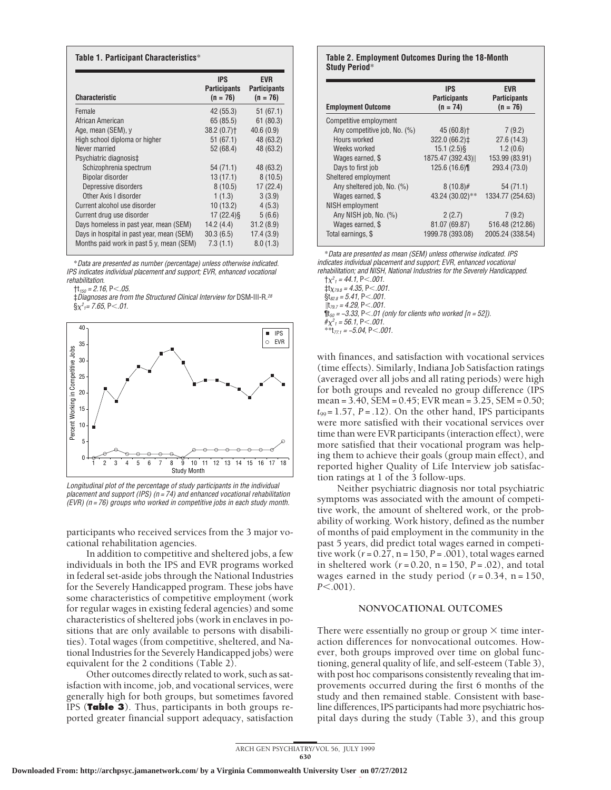| <b>Characteristic</b>                     | <b>IPS</b><br><b>Participants</b><br>$(n = 76)$ | <b>EVR</b><br><b>Participants</b><br>$(n = 76)$ |
|-------------------------------------------|-------------------------------------------------|-------------------------------------------------|
| Female                                    | 42 (55.3)                                       | 51(67.1)                                        |
| African American                          | 65 (85.5)                                       | 61(80.3)                                        |
| Age, mean (SEM), y                        | $38.2(0.7)$ <sup>+</sup>                        | 40.6(0.9)                                       |
| High school diploma or higher             | 51 (67.1)                                       | 48 (63.2)                                       |
| Never married                             | 52 (68.4)                                       | 48 (63.2)                                       |
| Psychiatric diagnosis‡                    |                                                 |                                                 |
| Schizophrenia spectrum                    | 54 (71.1)                                       | 48 (63.2)                                       |
| Bipolar disorder                          | 13(17.1)                                        | 8(10.5)                                         |
| Depressive disorders                      | 8(10.5)                                         | 17(22.4)                                        |
| Other Axis I disorder                     | 1(1.3)                                          | 3(3.9)                                          |
| Current alcohol use disorder              | 10(13.2)                                        | 4(5.3)                                          |
| Current drug use disorder                 | $17(22.4)\$                                     | 5(6.6)                                          |
| Days homeless in past year, mean (SEM)    | 14.2(4.4)                                       | 31.2(8.9)                                       |
| Days in hospital in past year, mean (SEM) | 30.3(6.5)                                       | 17.4(3.9)                                       |
| Months paid work in past 5 y, mean (SEM)  | 7.3(1.1)                                        | 8.0(1.3)                                        |

\*Data are presented as number (percentage) unless otherwise indicated. IPS indicates individual placement and support; EVR, enhanced vocational rehabilitation.

 $\text{+}$ t<sub>150</sub> = 2.16, P<.05.

‡Diagnoses are from the Structured Clinical Interview for DSM-III-R.<sup>28</sup>  $\S\chi^2$ 1= 7.65, P $<$ .01.



Longitudinal plot of the percentage of study participants in the individual placement and support (IPS) ( $n = 74$ ) and enhanced vocational rehabilitation (EVR) (n <sup>=</sup> 76) groups who worked in competitive jobs in each study month.

participants who received services from the 3 major vocational rehabilitation agencies.

In addition to competitive and sheltered jobs, a few individuals in both the IPS and EVR programs worked in federal set-aside jobs through the National Industries for the Severely Handicapped program. These jobs have some characteristics of competitive employment (work for regular wages in existing federal agencies) and some characteristics of sheltered jobs (work in enclaves in positions that are only available to persons with disabilities). Total wages (from competitive, sheltered, and National Industries for the Severely Handicapped jobs) were equivalent for the 2 conditions (Table 2).

Other outcomes directly related to work, such as satisfaction with income, job, and vocational services, were generally high for both groups, but sometimes favored IPS (**Table 3**). Thus, participants in both groups reported greater financial support adequacy, satisfaction

#### **Table 2. Employment Outcomes During the 18-Month Study Period**\*

| <b>Employment Outcome</b>    | <b>IPS</b><br><b>Participants</b><br>$(n = 74)$ | EVR<br><b>Participants</b><br>$(n = 76)$ |
|------------------------------|-------------------------------------------------|------------------------------------------|
| Competitive employment       |                                                 |                                          |
| Any competitive job, No. (%) | 45 (60.8) <sup>+</sup>                          | 7(9.2)                                   |
| Hours worked                 | 322.0 (66.2) ‡                                  | 27.6(14.3)                               |
| Weeks worked                 | $15.1(2.5)\$                                    | 1.2(0.6)                                 |
| Wages earned, \$             | 1875.47 (392.43)                                | 153.99 (83.91)                           |
| Days to first job            | 125.6 (16.6)                                    | 293.4 (73.0)                             |
| Sheltered employment         |                                                 |                                          |
| Any sheltered job, No. (%)   | $8(10.8)$ #                                     | 54 (71.1)                                |
| Wages earned, \$             | 43.24 (30.02)**                                 | 1334.77 (254.63)                         |
| NISH employment              |                                                 |                                          |
| Any NISH job, No. (%)        | 2(2.7)                                          | 7(9.2)                                   |
| Wages earned, \$             | 81.07 (69.87)                                   | 516.48 (212.86)                          |
| Total earnings, \$           | 1999.78 (393.08)                                | 2005.24 (338.54)                         |
|                              |                                                 |                                          |

\*Data are presented as mean (SEM) unless otherwise indicated. IPS indicates individual placement and support; EVR, enhanced vocational rehabilitation; and NISH, National Industries for the Severely Handicapped.

 $\uparrow \chi^2_1 = 44.1, P < .001.$  $\sharp$ t<sub>X79.8</sub> = 4.35, P<.001.

- $$t_{82.8} = 5.41, P<.001$ .
- $\text{It}_{79.7} = 4.29, \text{P} < .001.$

 $\P$ t<sub>50</sub> = -3.33, P<.01 (only for clients who worked [n = 52]).

$$
\# \chi^2_1 = 56.1, P < .001.
$$

\*\*t<sub>771</sub> = −5.04, P<.001.

with finances, and satisfaction with vocational services (time effects). Similarly, Indiana Job Satisfaction ratings (averaged over all jobs and all rating periods) were high for both groups and revealed no group difference (IPS mean = 3.40, SEM = 0.45; EVR mean = 3.25, SEM = 0.50;  $t_{99} = 1.57$ ,  $P = .12$ ). On the other hand, IPS participants were more satisfied with their vocational services over time than were EVR participants (interaction effect), were more satisfied that their vocational program was helping them to achieve their goals (group main effect), and reported higher Quality of Life Interview job satisfaction ratings at 1 of the 3 follow-ups.

Neither psychiatric diagnosis nor total psychiatric symptoms was associated with the amount of competitive work, the amount of sheltered work, or the probability of working. Work history, defined as the number of months of paid employment in the community in the past 5 years, did predict total wages earned in competitive work  $(r = 0.27, n = 150, P = .001)$ , total wages earned in sheltered work (*r* = 0.20, n = 150, *P* = .02), and total wages earned in the study period  $(r = 0.34, n = 150,$ *P*<.001).

#### **NONVOCATIONAL OUTCOMES**

There were essentially no group or group  $\times$  time interaction differences for nonvocational outcomes. However, both groups improved over time on global functioning, general quality of life, and self-esteem (Table 3), with post hoc comparisons consistently revealing that improvements occurred during the first 6 months of the study and then remained stable. Consistent with baseline differences, IPS participants had more psychiatric hospital days during the study (Table 3), and this group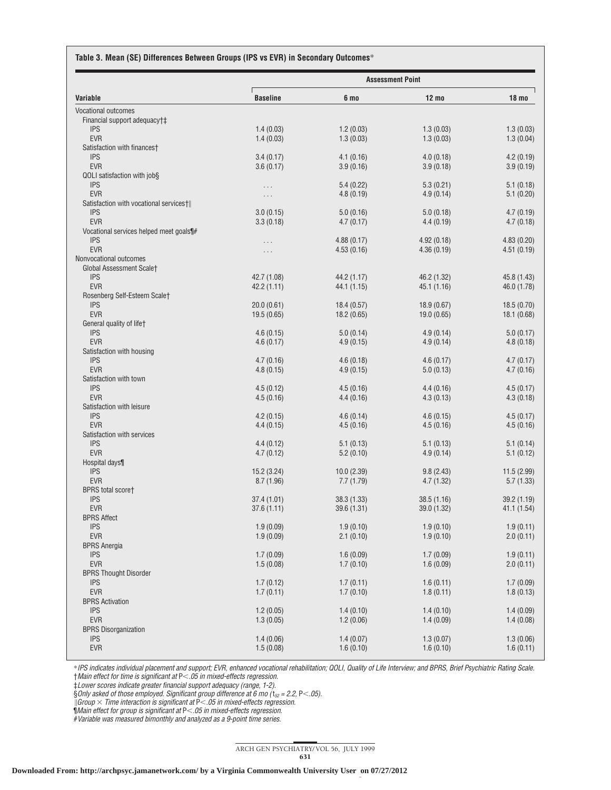#### **Table 3. Mean (SE) Differences Between Groups (IPS vs EVR) in Secondary Outcomes**\*

|                                                        | <b>Assessment Point</b> |                        |                        |                        |  |
|--------------------------------------------------------|-------------------------|------------------------|------------------------|------------------------|--|
| Variable                                               | <b>Baseline</b>         | 6 mo                   | $12 \text{ mo}$        | 18 <sub>mo</sub>       |  |
| <b>Vocational outcomes</b>                             |                         |                        |                        |                        |  |
| Financial support adequacy†‡                           |                         |                        |                        |                        |  |
| <b>IPS</b>                                             | 1.4(0.03)               | 1.2(0.03)              | 1.3(0.03)              | 1.3(0.03)              |  |
| <b>EVR</b><br>Satisfaction with finances†              | 1.4(0.03)               | 1.3(0.03)              | 1.3(0.03)              | 1.3(0.04)              |  |
| <b>IPS</b>                                             | 3.4(0.17)               | 4.1(0.16)              | 4.0(0.18)              | 4.2(0.19)              |  |
| <b>EVR</b>                                             | 3.6(0.17)               | 3.9(0.16)              | 3.9(0.18)              | 3.9(0.19)              |  |
| QOLI satisfaction with job§                            |                         |                        |                        |                        |  |
| <b>IPS</b>                                             | .                       | 5.4(0.22)              | 5.3(0.21)              | 5.1(0.18)              |  |
| <b>EVR</b>                                             | $\cdots$                | 4.8(0.19)              | 4.9(0.14)              | 5.1(0.20)              |  |
| Satisfaction with vocational services†  <br><b>IPS</b> | 3.0(0.15)               |                        |                        |                        |  |
| <b>EVR</b>                                             | 3.3(0.18)               | 5.0(0.16)<br>4.7(0.17) | 5.0(0.18)<br>4.4(0.19) | 4.7(0.19)<br>4.7(0.18) |  |
| Vocational services helped meet goals\#                |                         |                        |                        |                        |  |
| <b>IPS</b>                                             | .                       | 4.88(0.17)             | 4.92(0.18)             | 4.83(0.20)             |  |
| <b>EVR</b>                                             | .                       | 4.53(0.16)             | 4.36(0.19)             | 4.51(0.19)             |  |
| Nonvocational outcomes                                 |                         |                        |                        |                        |  |
| Global Assessment Scalet                               |                         |                        |                        |                        |  |
| <b>IPS</b><br><b>EVR</b>                               | 42.7 (1.08)             | 44.2 (1.17)            | 46.2 (1.32)            | 45.8 (1.43)            |  |
| Rosenberg Self-Esteem Scalet                           | 42.2 (1.11)             | 44.1 (1.15)            | 45.1 (1.16)            | 46.0 (1.78)            |  |
| <b>IPS</b>                                             | 20.0(0.61)              | 18.4(0.57)             | 18.9(0.67)             | 18.5(0.70)             |  |
| <b>EVR</b>                                             | 19.5(0.65)              | 18.2 (0.65)            | 19.0 (0.65)            | 18.1(0.68)             |  |
| General quality of lifet                               |                         |                        |                        |                        |  |
| <b>IPS</b>                                             | 4.6(0.15)               | 5.0(0.14)              | 4.9(0.14)              | 5.0(0.17)              |  |
| <b>EVR</b>                                             | 4.6(0.17)               | 4.9(0.15)              | 4.9(0.14)              | 4.8(0.18)              |  |
| Satisfaction with housing                              |                         |                        |                        |                        |  |
| <b>IPS</b><br><b>EVR</b>                               | 4.7(0.16)<br>4.8(0.15)  | 4.6(0.18)<br>4.9(0.15) | 4.6(0.17)<br>5.0(0.13) | 4.7(0.17)<br>4.7(0.16) |  |
| Satisfaction with town                                 |                         |                        |                        |                        |  |
| <b>IPS</b>                                             | 4.5(0.12)               | 4.5(0.16)              | 4.4(0.16)              | 4.5(0.17)              |  |
| <b>EVR</b>                                             | 4.5(0.16)               | 4.4(0.16)              | 4.3(0.13)              | 4.3(0.18)              |  |
| Satisfaction with leisure                              |                         |                        |                        |                        |  |
| <b>IPS</b>                                             | 4.2(0.15)               | 4.6(0.14)              | 4.6(0.15)              | 4.5(0.17)              |  |
| <b>EVR</b>                                             | 4.4(0.15)               | 4.5(0.16)              | 4.5(0.16)              | 4.5(0.16)              |  |
| Satisfaction with services<br><b>IPS</b>               |                         |                        |                        |                        |  |
| <b>EVR</b>                                             | 4.4(0.12)<br>4.7(0.12)  | 5.1(0.13)<br>5.2(0.10) | 5.1(0.13)<br>4.9(0.14) | 5.1(0.14)<br>5.1(0.12) |  |
| Hospital days¶                                         |                         |                        |                        |                        |  |
| <b>IPS</b>                                             | 15.2(3.24)              | 10.0(2.39)             | 9.8(2.43)              | 11.5(2.99)             |  |
| <b>EVR</b>                                             | 8.7(1.96)               | 7.7(1.79)              | 4.7(1.32)              | 5.7(1.33)              |  |
| <b>BPRS</b> total score†                               |                         |                        |                        |                        |  |
| <b>IPS</b>                                             | 37.4 (1.01)             | 38.3 (1.33)            | 38.5 (1.16)            | 39.2(1.19)             |  |
| <b>EVR</b>                                             | 37.6(1.11)              | 39.6 (1.31)            | 39.0 (1.32)            | 41.1 (1.54)            |  |
| <b>BPRS Affect</b><br><b>IPS</b>                       | 1.9(0.09)               | 1.9(0.10)              | 1.9(0.10)              | 1.9(0.11)              |  |
| <b>EVR</b>                                             | 1.9(0.09)               | 2.1(0.10)              | 1.9(0.10)              | 2.0(0.11)              |  |
| <b>BPRS Anergia</b>                                    |                         |                        |                        |                        |  |
| <b>IPS</b>                                             | 1.7(0.09)               | 1.6(0.09)              | 1.7(0.09)              | 1.9(0.11)              |  |
| <b>EVR</b>                                             | 1.5(0.08)               | 1.7(0.10)              | 1.6(0.09)              | 2.0(0.11)              |  |
| <b>BPRS Thought Disorder</b>                           |                         |                        |                        |                        |  |
| <b>IPS</b>                                             | 1.7(0.12)               | 1.7(0.11)              | 1.6(0.11)              | 1.7(0.09)              |  |
| <b>EVR</b>                                             | 1.7(0.11)               | 1.7(0.10)              | 1.8(0.11)              | 1.8(0.13)              |  |
| <b>BPRS Activation</b><br><b>IPS</b>                   | 1.2(0.05)               | 1.4(0.10)              | 1.4(0.10)              | 1.4(0.09)              |  |
| <b>EVR</b>                                             | 1.3(0.05)               | 1.2(0.06)              | 1.4(0.09)              | 1.4(0.08)              |  |
| <b>BPRS Disorganization</b>                            |                         |                        |                        |                        |  |
| <b>IPS</b>                                             | 1.4(0.06)               | 1.4(0.07)              | 1.3(0.07)              | 1.3(0.06)              |  |
| <b>EVR</b>                                             | 1.5(0.08)               | 1.6(0.10)              | 1.6(0.10)              | 1.6(0.11)              |  |
|                                                        |                         |                        |                        |                        |  |

\*IPS indicates individual placement and support; EVR, enhanced vocational rehabilitation; QOLI, Quality of Life Interview; and BPRS, Brief Psychiatric Rating Scale. †Main effect for time is significant at P,.05 in mixed-effects regression.

‡Lower scores indicate greater financial support adequacy (range, 1-2).

§Only asked of those employed. Significant group difference at 6 mo ( $t_{52}$  = 2.2, P<.05).

 $\parallel$ Group  $\times$  Time interaction is significant at P $<$ .05 in mixed-effects regression.

 $\P$ Main effect for group is significant at P<.05 in mixed-effects regression.

#Variable was measured bimonthly and analyzed as <sup>a</sup> 9-point time series.

ARCH GEN PSYCHIATRY/ VOL 56, JULY 1999 631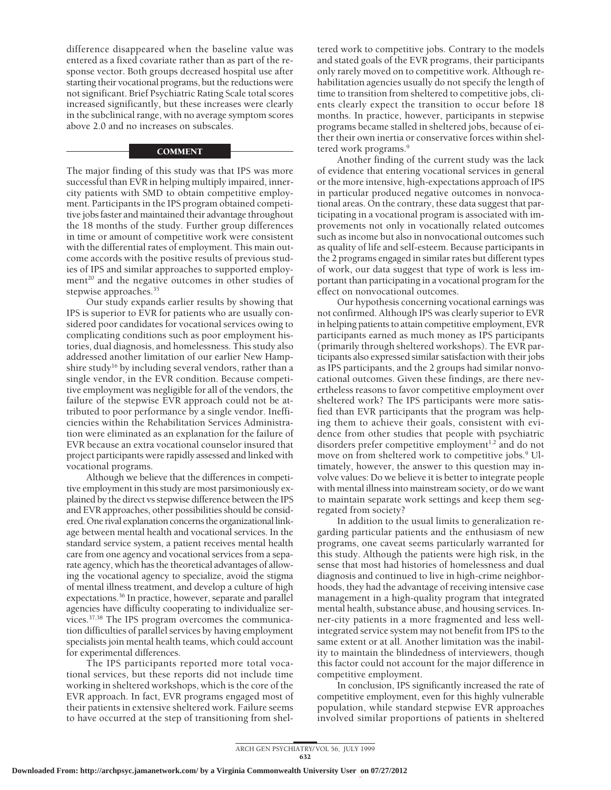difference disappeared when the baseline value was entered as a fixed covariate rather than as part of the response vector. Both groups decreased hospital use after starting their vocational programs, but the reductions were not significant. Brief Psychiatric Rating Scale total scores increased significantly, but these increases were clearly in the subclinical range, with no average symptom scores above 2.0 and no increases on subscales.

### **COMMENT**

The major finding of this study was that IPS was more successful than EVR in helping multiply impaired, innercity patients with SMD to obtain competitive employment. Participants in the IPS program obtained competitive jobs faster and maintained their advantage throughout the 18 months of the study. Further group differences in time or amount of competitive work were consistent with the differential rates of employment. This main outcome accords with the positive results of previous studies of IPS and similar approaches to supported employment<sup>20</sup> and the negative outcomes in other studies of stepwise approaches.<sup>35</sup>

Our study expands earlier results by showing that IPS is superior to EVR for patients who are usually considered poor candidates for vocational services owing to complicating conditions such as poor employment histories, dual diagnosis, and homelessness. This study also addressed another limitation of our earlier New Hampshire study<sup>16</sup> by including several vendors, rather than a single vendor, in the EVR condition. Because competitive employment was negligible for all of the vendors, the failure of the stepwise EVR approach could not be attributed to poor performance by a single vendor. Inefficiencies within the Rehabilitation Services Administration were eliminated as an explanation for the failure of EVR because an extra vocational counselor insured that project participants were rapidly assessed and linked with vocational programs.

Although we believe that the differences in competitive employment in this study are most parsimoniously explained by the direct vs stepwise difference between the IPS and EVR approaches, other possibilities should be considered. One rival explanation concerns the organizational linkage between mental health and vocational services. In the standard service system, a patient receives mental health care from one agency and vocational services from a separate agency, which has the theoretical advantages of allowing the vocational agency to specialize, avoid the stigma of mental illness treatment, and develop a culture of high expectations.<sup>36</sup> In practice, however, separate and parallel agencies have difficulty cooperating to individualize services.37,38 The IPS program overcomes the communication difficulties of parallel services by having employment specialists join mental health teams, which could account for experimental differences.

The IPS participants reported more total vocational services, but these reports did not include time working in sheltered workshops, which is the core of the EVR approach. In fact, EVR programs engaged most of their patients in extensive sheltered work. Failure seems to have occurred at the step of transitioning from sheltered work to competitive jobs. Contrary to the models and stated goals of the EVR programs, their participants only rarely moved on to competitive work. Although rehabilitation agencies usually do not specify the length of time to transition from sheltered to competitive jobs, clients clearly expect the transition to occur before 18 months. In practice, however, participants in stepwise programs became stalled in sheltered jobs, because of either their own inertia or conservative forces within sheltered work programs.<sup>9</sup>

Another finding of the current study was the lack of evidence that entering vocational services in general or the more intensive, high-expectations approach of IPS in particular produced negative outcomes in nonvocational areas. On the contrary, these data suggest that participating in a vocational program is associated with improvements not only in vocationally related outcomes such as income but also in nonvocational outcomes such as quality of life and self-esteem. Because participants in the 2 programs engaged in similar rates but different types of work, our data suggest that type of work is less important than participating in a vocational program for the effect on nonvocational outcomes.

Our hypothesis concerning vocational earnings was not confirmed. Although IPS was clearly superior to EVR in helping patients to attain competitive employment, EVR participants earned as much money as IPS participants (primarily through sheltered workshops). The EVR participants also expressed similar satisfaction with their jobs as IPS participants, and the 2 groups had similar nonvocational outcomes. Given these findings, are there nevertheless reasons to favor competitive employment over sheltered work? The IPS participants were more satisfied than EVR participants that the program was helping them to achieve their goals, consistent with evidence from other studies that people with psychiatric disorders prefer competitive employment<sup>1,2</sup> and do not move on from sheltered work to competitive jobs.<sup>9</sup> Ultimately, however, the answer to this question may involve values: Do we believe it is better to integrate people with mental illness into mainstream society, or do we want to maintain separate work settings and keep them segregated from society?

In addition to the usual limits to generalization regarding particular patients and the enthusiasm of new programs, one caveat seems particularly warranted for this study. Although the patients were high risk, in the sense that most had histories of homelessness and dual diagnosis and continued to live in high-crime neighborhoods, they had the advantage of receiving intensive case management in a high-quality program that integrated mental health, substance abuse, and housing services. Inner-city patients in a more fragmented and less wellintegrated service system may not benefit from IPS to the same extent or at all. Another limitation was the inability to maintain the blindedness of interviewers, though this factor could not account for the major difference in competitive employment.

In conclusion, IPS significantly increased the rate of competitive employment, even for this highly vulnerable population, while standard stepwise EVR approaches involved similar proportions of patients in sheltered